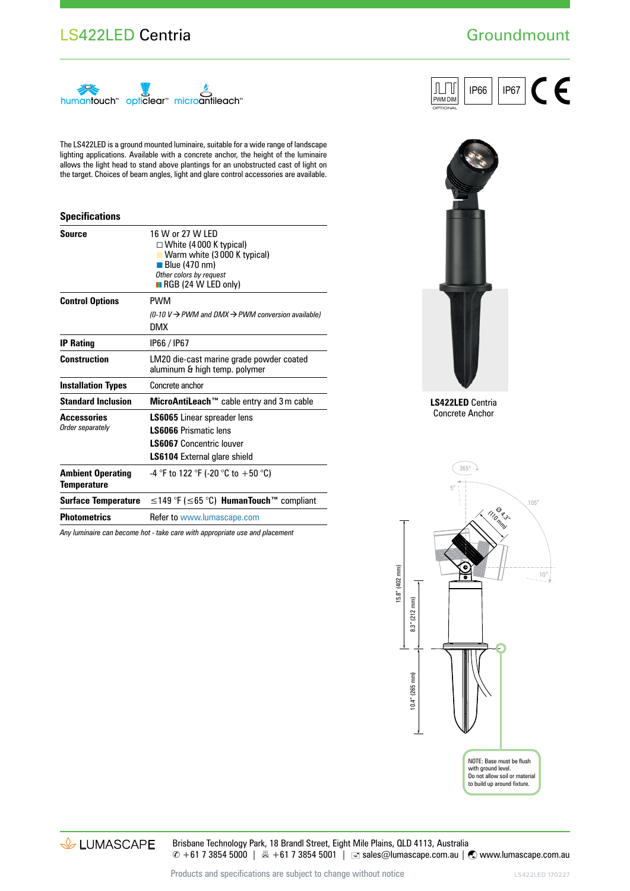### LS422LED Centria

# **Groundmount**

IP66 | IP67

OPTIONAL PWM DIM

ℿ



The LS422LED is a ground mounted luminaire, suitable for a wide range of landscape lighting applications. Available with a concrete anchor, the height of the luminaire allows the light head to stand above plantings for an unobstructed cast of light on the target. Choices of beam angles, light and glare control accessories are available.

#### **Specifications**

| 16 W or 27 W LFD<br>$\Box$ White (4000 K typical)<br>Warm white (3000 K typical)<br>■ Blue (470 nm)<br>Other colors by request<br>$\blacksquare$ RGB (24 W LED only) |  |  |  |  |
|----------------------------------------------------------------------------------------------------------------------------------------------------------------------|--|--|--|--|
| PWM                                                                                                                                                                  |  |  |  |  |
| $(0-10 V \rightarrow$ PWM and DMX $\rightarrow$ PWM conversion available)<br><b>DMX</b>                                                                              |  |  |  |  |
| IP66 / IP67                                                                                                                                                          |  |  |  |  |
| LM20 die-cast marine grade powder coated<br>aluminum & high temp. polymer                                                                                            |  |  |  |  |
| Concrete anchor                                                                                                                                                      |  |  |  |  |
| MicroAntiLeach™ cable entry and 3m cable                                                                                                                             |  |  |  |  |
| <b>LS6065</b> Linear spreader lens<br>I S6066 Prismatic lens<br><b>LS6067</b> Concentric louver<br><b>LS6104</b> External glare shield                               |  |  |  |  |
| -4 °F to 122 °F (-20 °C to +50 °C)                                                                                                                                   |  |  |  |  |
| $\leq$ 149 °F ( $\leq$ 65 °C) <b>HumanTouch</b> ™ compliant                                                                                                          |  |  |  |  |
| Refer to www.lumascape.com                                                                                                                                           |  |  |  |  |
|                                                                                                                                                                      |  |  |  |  |

*Any luminaire can become hot - take care with appropriate use and placement*



**LS422LED** Centria Concrete Anchor



& LUMASCAPE

Brisbane Technology Park, 18 Brandl Street, Eight Mile Plains, QLD 4113, Australia  $\degree$  +61 7 3854 5000 | A +61 7 3854 5001 | ■ sales@lumascape.com.au |  $\degree$  www.lumascape.com.au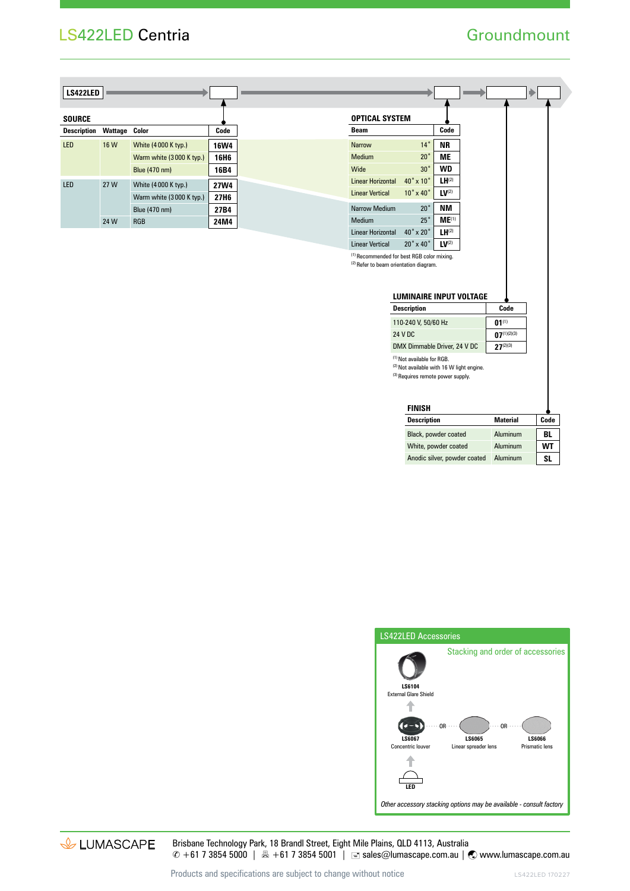# LS422LED Centria

### **Groundmount**

Þ

| <b>LS422LED</b>    |                      |                          |                  |
|--------------------|----------------------|--------------------------|------------------|
|                    |                      |                          |                  |
| <b>SOURCE</b>      |                      |                          |                  |
| <b>Description</b> | <b>Wattage Color</b> |                          | Code             |
| <b>LED</b>         | 16 W                 | White (4000 K typ.)      | <b>16W4</b>      |
|                    |                      | Warm white (3000 K typ.) | 16H <sub>6</sub> |
|                    |                      | Blue (470 nm)            | 16B4             |
| <b>LED</b>         | 27 W                 | White (4000 K typ.)      | <b>27W4</b>      |
|                    |                      | Warm white (3000 K typ.) | 27H <sub>6</sub> |
|                    |                      | Blue (470 nm)            | 27B4             |
|                    | 24 W                 | <b>RGB</b>               | 24M4             |
|                    |                      |                          |                  |

| <b>Wide</b>                                           |                                                                                                            | 30.                        | WD                           |  |                  |  |  |  |  |  |
|-------------------------------------------------------|------------------------------------------------------------------------------------------------------------|----------------------------|------------------------------|--|------------------|--|--|--|--|--|
| Linear Horizontal                                     |                                                                                                            | $40^\circ \times 10^\circ$ | $LH^{(2)}$                   |  |                  |  |  |  |  |  |
| <b>Linear Vertical</b>                                |                                                                                                            | $10^\circ \times 40^\circ$ | LV <sup>(2)</sup>            |  |                  |  |  |  |  |  |
| Narrow Medium                                         |                                                                                                            | $20^{\circ}$               | ΝM                           |  |                  |  |  |  |  |  |
| Medium                                                |                                                                                                            | $25^{\circ}$               | ME <sup>(1)</sup>            |  |                  |  |  |  |  |  |
| Linear Horizontal                                     |                                                                                                            | $40^\circ \times 20^\circ$ | $LH^{(2)}$                   |  |                  |  |  |  |  |  |
| <b>Linear Vertical</b>                                |                                                                                                            | $20^\circ \times 40^\circ$ | LV <sup>(2)</sup>            |  |                  |  |  |  |  |  |
| <sup>(1)</sup> Recommended for best RGB color mixing. | <sup>(2)</sup> Refer to beam orientation diagram.<br>LUMINAIRE INPUT VOLTAGE<br>Code<br><b>Description</b> |                            |                              |  |                  |  |  |  |  |  |
|                                                       |                                                                                                            |                            |                              |  |                  |  |  |  |  |  |
|                                                       |                                                                                                            |                            |                              |  |                  |  |  |  |  |  |
|                                                       |                                                                                                            | 110-240 V, 50/60 Hz        |                              |  | $01^{(1)}$       |  |  |  |  |  |
|                                                       | 24 V DC                                                                                                    |                            |                              |  | $07^{(1)(2)(3)}$ |  |  |  |  |  |
|                                                       |                                                                                                            |                            | DMX Dimmable Driver, 24 V DC |  | $27^{(2)(3)}$    |  |  |  |  |  |

| <b>FINISH</b>                |                 |      |  |  |  |  |
|------------------------------|-----------------|------|--|--|--|--|
| <b>Description</b>           | <b>Material</b> | Code |  |  |  |  |
| Black, powder coated         | Aluminum        | BL   |  |  |  |  |
| White, powder coated         | Aluminum        | WT   |  |  |  |  |
| Anodic silver, powder coated | Aluminum        | SL   |  |  |  |  |



& LUMASCAPE

Brisbane Technology Park, 18 Brandl Street, Eight Mile Plains, QLD 4113, Australia © +61 7 3854 5000 | 1 + 61 7 3854 5001 | ■ sales@lumascape.com.au | ● www.lumascape.com.au